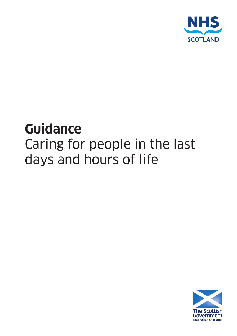

## **Guidance**

# Caring for people in the last days and hours of life

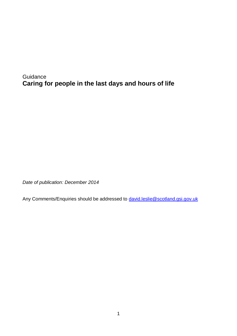**Guidance Caring for people in the last days and hours of life**

*Date of publication: December 2014*

Any Comments/Enquiries should be addressed to **david.leslie@scotland.gsi.gov.uk**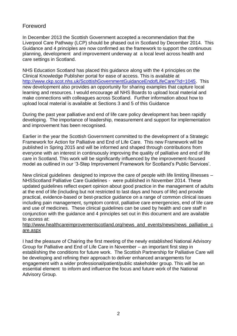#### Foreword

In December 2013 the Scottish Government accepted a recommendation that the Liverpool Care Pathway (LCP) should be phased out in Scotland by December 2014. This Guidance and 4 principles are now confirmed as the framework to support the continuous planning, development and improvement underway at a local level across health and care settings in Scotland.

NHS Education Scotland has placed this guidance along with the 4 principles on the Clinical Knowledge Publisher portal for ease of access. This is available at [http://www.ckp.scot.nhs.uk/ScottishGovernmentGuidanceEndofLifeCare/?id=1045.](http://www.ckp.scot.nhs.uk/ScottishGovernmentGuidanceEndofLifeCare/?id=1045) This new development also provides an opportunity for sharing examples that capture local learning and resources. I would encourage all NHS Boards to upload local material and make connections with colleagues across Scotland. Further information about how to upload local material is available at Sections 3 and 5 of this Guidance

During the past year palliative and end of life care policy development has been rapidly developing. The importance of leadership, measurement and support for implementation and improvement has been recognised.

Earlier in the year the Scottish Government committed to the development of a Strategic Framework for Action for Palliative and End of Life Care. This new Framework will be published in Spring 2015 and will be informed and shaped through contributions from everyone with an interest in continuously improving the quality of palliative and end of life care in Scotland. This work will be significantly influenced by the improvement-focused model as outlined in our '3-Step Improvement Framework for Scotland's Public Services'.

New clinical guidelines designed to improve the care of people with life limiting illnesses – NHSScotland Palliative Care Guidelines - were published in November 2014. These updated guidelines reflect expert opinion about good practice in the management of adults at the end of life (including but not restricted to last days and hours of life) and provide practical, evidence-based or best-practice guidance on a range of common clinical issues including pain management, symptom control, palliative care emergencies, end of life care and use of medicines. These clinical guidelines can be used by health and care staff in conjunction with the guidance and 4 principles set out in this document and are available to access at:

#### [http://www.healthcareimprovementscotland.org/news\\_and\\_events/news/news\\_palliative\\_c](http://www.healthcareimprovementscotland.org/news_and_events/news/news_palliative_care.aspx) [are.aspx](http://www.healthcareimprovementscotland.org/news_and_events/news/news_palliative_care.aspx)

I had the pleasure of Chairing the first meeting of the newly established National Advisory Group for Palliative and End of Life Care in November – an important first step in establishing the conditions for future work. The Scottish Partnership for Palliative Care will be developing and refining their approach to deliver enhanced arrangements for engagement with a wider professional/patient/public stakeholder group. This will be an essential element to inform and influence the focus and future work of the National Advisory Group.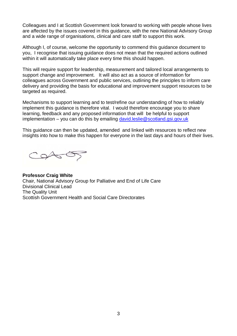Colleagues and I at Scottish Government look forward to working with people whose lives are affected by the issues covered in this guidance, with the new National Advisory Group and a wide range of organisations, clinical and care staff to support this work.

Although I, of course, welcome the opportunity to commend this guidance document to you, I recognise that issuing guidance does not mean that the required actions outlined within it will automatically take place every time this should happen.

This will require support for leadership, measurement and tailored local arrangements to support change and improvement. It will also act as a source of information for colleagues across Government and public services, outlining the principles to inform care delivery and providing the basis for educational and improvement support resources to be targeted as required.

Mechanisms to support learning and to test/refine our understanding of how to reliably implement this guidance is therefore vital. I would therefore encourage you to share learning, feedback and any proposed information that will be helpful to support implementation – you can do this by emailing [david.leslie@scotland.gsi.gov.uk](mailto:david.leslie@scotland.gsi.gov.uk)

This guidance can then be updated, amended and linked with resources to reflect new insights into how to make this happen for everyone in the last days and hours of their lives.

Costos

**Professor Craig White** Chair, National Advisory Group for Palliative and End of Life Care Divisional Clinical Lead The Quality Unit Scottish Government Health and Social Care Directorates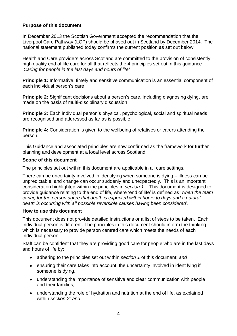#### **Purpose of this document**

In December 2013 the Scottish Government accepted the recommendation that the Liverpool Care Pathway (LCP) should be phased out in Scotland by December 2014. The national statement published today confirms the current position as set out below.

Health and Care providers across Scotland are committed to the provision of consistently high quality end of life care for all that reflects the 4 principles set out in this guidance '*Caring for people in the last days and hours of life<sup>1</sup>* '

**Principle 1:** Informative, timely and sensitive communication is an essential component of each individual person's care

**Principle 2:** Significant decisions about a person's care, including diagnosing dying, are made on the basis of multi-disciplinary discussion

**Principle 3:** Each individual person's physical, psychological, social and spiritual needs are recognised and addressed as far as is possible

**Principle 4:** Consideration is given to the wellbeing of relatives or carers attending the person.

This Guidance and associated principles are now confirmed as the framework for further planning and development at a local level across Scotland.

#### **Scope of this document**

The principles set out within this document are applicable in all care settings.

There can be uncertainty involved in identifying when someone is dying – illness can be unpredictable, and change can occur suddenly and unexpectedly. This is an important consideration highlighted within the principles in *section 1*. This document is designed to provide guidance relating to the end of life, where 'end of life' is defined as '*when the team caring for the person agree that death is expected within hours to days and a natural death<sup>i</sup> is occurring with all possible reversible causes having been considered*'*.*

#### **How to use this document**

This document does not provide detailed instructions or a list of steps to be taken. Each individual person is different. The principles in this document should inform the thinking which is necessary to provide person centred care which meets the needs of each individual person.

Staff can be confident that they are providing good care for people who are in the last days and hours of life by:

- $\bullet$ adhering to the principles set out within *section 1* of this document; *and*
- $\bullet$ ensuring their care takes into account the uncertainty involved in identifying if someone is dying,
- understanding the importance of sensitive and clear communication with people  $\bullet$ and their families,
- understanding the role of hydration and nutrition at the end of life, as explained  $\bullet$ within *section 2; and*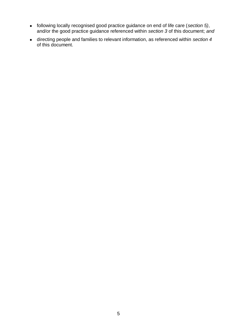- following locally recognised good practice guidance on end of life care (*section 5)*, and/or the good practice guidance referenced within *section 3* of this document; *and*
- directing people and families to relevant information, as referenced within *section 4* of this document.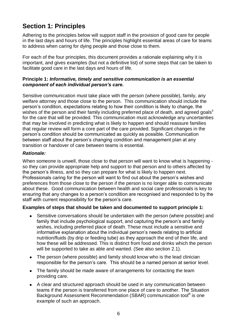## **Section 1: Principles**

Adhering to the principles below will support staff in the provision of good care for people in the last days and hours of life. The principles highlight essential areas of care for teams to address when caring for dying people and those close to them.

For each of the four principles, this document provides a rationale explaining why it is important, and gives examples (but not a definitive list) of some steps that can be taken to facilitate good care in the last days and hours of life.

#### **Principle 1:** *Informative, timely and sensitive communication is an essential component of each individual person's care.*

Sensitive communication must take place with the person (where possible), family, any welfare attorney and those close to the person. This communication should include the person's condition, expectations relating to how their condition is likely to change, the wishes of the person and their family including preferred place of death, and agreed goals<sup>ii</sup> for the care that will be provided. This communication must acknowledge any uncertainties that may be involved in predicting what is likely to happen and should reassure families that regular review will form a core part of the care provided. Significant changes in the person's condition should be communicated as quickly as possible. Communication between staff about the person's changing condition and management plan at any transition or handover of care between teams is essential.

#### *Rationale:*

When someone is unwell, those close to that person will want to know what is happening so they can provide appropriate help and support to that person and to others affected by the person's illness, and so they can prepare for what is likely to happen next. Professionals caring for the person will want to find out about the person's wishes and preferences from those close to the person if the person is no longer able to communicate about these. Good communication between health and social care professionals is key to ensuring that any changes to a person's condition are recognised and responded to by the staff with current responsibility for the person's care.

#### **Examples of steps that should be taken and documented to support principle 1:**

- $\bullet$ Sensitive conversations should be undertaken with the person (where possible) and family that include psychological support, and capturing the person's and family wishes, including preferred place of death. These must include a sensitive and informative explanation about the individual person's needs relating to artificial nutrition/fluids (by drip or feeding tube) as they approach the end of their life, and how these will be addressed. This is distinct from food and drinks which the person will be supported to take as able and wanted. (See also section 2.1).
- The person (where possible) and family should know who is the lead clinician  $\bullet$ responsible for the person's care. This should be a named person at senior level.
- The family should be made aware of arrangements for contacting the team  $\bullet$ providing care.
- A clear and structured approach should be used in any communication between  $\bullet$ teams if the person is transferred from one place of care to another. The Situation Background Assessment Recommendation (SBAR) communication tool<sup>iii</sup> is one example of such an approach.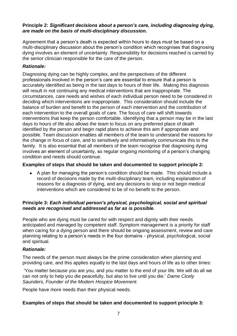#### **Principle 2:** *Significant decisions about a person's care, including diagnosing dying, are made on the basis of multi-disciplinary discussion.*

Agreement that a person's death is expected within hours to days must be based on a multi-disciplinary discussion about the person's condition which recognises that diagnosing dying involves an element of uncertainty. Responsibility for decisions reached is carried by the senior clinician responsible for the care of the person.

#### *Rationale:*

Diagnosing dying can be highly complex, and the perspectives of the different professionals involved in the person's care are essential to ensure that a person is accurately identified as being in the last days to hours of their life. Making this diagnosis will result in not continuing any medical interventions that are inappropriate. The circumstances, care needs and wishes of each individual person need to be considered in deciding which interventions are inappropriate. This consideration should include the balance of burden and benefit to the person of each intervention and the contribution of each intervention to the overall goals of care. The focus of care will shift towards interventions that keep the person comfortable. Identifying that a person may be in the last days to hours of life also allows the team to focus on any preferred place of death identified by the person and begin rapid plans to achieve this aim if appropriate and possible. Team discussion enables all members of the team to understand the reasons for the change in focus of care, and to sensitively and informatively communicate this to the family. It is also essential that all members of the team recognise that diagnosing dying involves an element of uncertainty, so regular ongoing monitoring of a person's changing condition and needs should continue.

#### **Examples of steps that should be taken and documented to support principle 2:**

A plan for managing the person's condition should be made. This should include a  $\bullet$ record of decisions made by the multi-disciplinary team, including explanation of reasons for a diagnosis of dying, and any decisions to stop or not begin medical interventions which are considered to be of no benefit to the person.

#### **Principle 3:** *Each individual person's physical, psychological, social and spiritual needs are recognised and addressed as far as is possible.*

People who are dying must be cared for with respect and dignity with their needs anticipated and managed by competent staff. Symptom management is a priority for staff when caring for a dying person and there should be ongoing assessment, review and care planning relating to a person's needs in the four domains - physical, psychological, social and spiritual.

#### *Rationale:*

The needs of the person must always be the prime consideration when planning and providing care, and this applies equally to the last days and hours of life as to other times:

'You matter because you are you, and you matter to the end of your life. We will do all we can not only to help you die peacefully, but also to live until you die.' *Dame Cicely Saunders, Founder of the Modern Hospice Movement.*

People have more needs than their physical needs.

#### **Examples of steps that should be taken and documented to support principle 3:**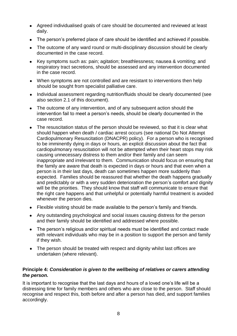- Agreed individualised goals of care should be documented and reviewed at least  $\bullet$ daily.
- The person's preferred place of care should be identified and achieved if possible.
- The outcome of any ward round or multi-disciplinary discussion should be clearly  $\bullet$ documented in the case record.
- Key symptoms such as: pain; agitation; breathlessness; nausea & vomiting; and respiratory tract secretions, should be assessed and any intervention documented in the case record.
- When symptoms are not controlled and are resistant to interventions then help should be sought from specialist palliative care.
- Individual assessment regarding nutrition/fluids should be clearly documented (see  $\bullet$ also section 2.1 of this document).
- The outcome of any intervention, and of any subsequent action should the  $\bullet$ intervention fail to meet a person's needs, should be clearly documented in the case record.
- The resuscitation status of the person should be reviewed, so that it is clear what  $\bullet$ should happen when death / cardiac arrest occurs (see national Do Not Attempt Cardiopulmonary Resuscitation (DNACPR) policy). For a person who is recognised to be imminently dying in days or hours, an explicit discussion about the fact that cardiopulmonary resuscitation will not be attempted when their heart stops may risk causing unnecessary distress to them and/or their family and can seem inappropriate and irrelevant to them. Communication should focus on ensuring that the family are aware that death is expected in days or hours and that even when a person is in their last days, death can sometimes happen more suddenly than expected. Families should be reassured that whether the death happens gradually and predictably or with a very sudden deterioration the person's comfort and dignity will be the priorities. They should know that staff will communicate to ensure that the right care happens and that unhelpful or potentially harmful treatment is avoided whenever the person dies.
- Flexible visiting should be made available to the person's family and friends.
- Any outstanding psychological and social issues causing distress for the person and their family should be identified and addressed where possible.
- The person's religious and/or spiritual needs must be identified and contact made  $\bullet$ with relevant individuals who may be in a position to support the person and family if they wish.
- The person should be treated with respect and dignity whilst last offices are  $\bullet$ undertaken (where relevant).

#### **Principle 4:** *Consideration is given to the wellbeing of relatives or carers attending the person.*

It is important to recognise that the last days and hours of a loved one's life will be a distressing time for family members and others who are close to the person. Staff should recognise and respect this, both before and after a person has died, and support families accordingly.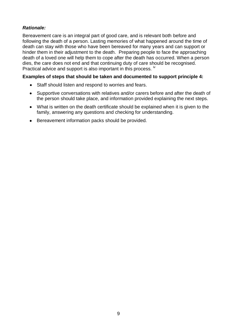#### *Rationale:*

Bereavement care is an integral part of good care, and is relevant both before and following the death of a person. Lasting memories of what happened around the time of death can stay with those who have been bereaved for many years and can support or hinder them in their adjustment to the death. Preparing people to face the approaching death of a loved one will help them to cope after the death has occurred. When a person dies, the care does not end and that continuing duty of care should be recognised. Practical advice and support is also important in this process. <sup>iv</sup>

#### **Examples of steps that should be taken and documented to support principle 4:**

- Staff should listen and respond to worries and fears.
- Supportive conversations with relatives and/or carers before and after the death of  $\bullet$ the person should take place, and information provided explaining the next steps.
- What is written on the death certificate should be explained when it is given to the  $\bullet$ family, answering any questions and checking for understanding.
- Bereavement information packs should be provided.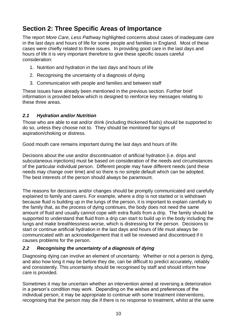## **Section 2: Three Specific Areas of Importance**

The report *More Care, Less Pathway* highlighted concerns about cases of inadequate care in the last days and hours of life for some people and families in England. Most of these cases were chiefly related to three issues. In providing good care in the last days and hours of life it is very important therefore to give these specific issues careful consideration:

- 1. Nutrition and hydration in the last days and hours of life
- 2. Recognising the uncertainty of a diagnosis of dying
- 3. Communication with people and families and between staff

These issues have already been mentioned in the previous section. Further brief information is provided below which is designed to reinforce key messages relating to these three areas.

#### *2.1 Hydration and/or Nutrition*

Those who are able to eat and/or drink (including thickened fluids) should be supported to do so, unless they choose not to. They should be monitored for signs of aspiration/choking or distress.

Good mouth care remains important during the last days and hours of life.

Decisions about the use and/or discontinuation of artificial hydration (i.e. drips and subcutaneous injections) must be based on consideration of the needs and circumstances of the particular individual person. Different people may have different needs (and these needs may change over time) and so there is no simple default which can be adopted. The best interests of the person should always be paramount.

The reasons for decisions and/or changes should be promptly communicated and carefully explained to family and carers. For example, where a drip is not started or is withdrawn because fluid is building up in the lungs of the person, it is important to explain carefully to the family that, as the process of dying continues, the body does not need the same amount of fluid and usually cannot cope with extra fluids from a drip. The family should be supported to understand that fluid from a drip can start to build up in the body including the lungs and make breathlessness worse, which is distressing for the person. Decisions to start or continue artificial hydration in the last days and hours of life must always be communicated with an acknowledgement that it will be reviewed and discontinued if it causes problems for the person.

#### *2.2 Recognising the uncertainty of a diagnosis of dying*

Diagnosing dying can involve an element of uncertainty. Whether or not a person is dying, and also how long it may be before they die, can be difficult to predict accurately, reliably and consistently. This uncertainty should be recognised by staff and should inform how care is provided.

Sometimes it may be uncertain whether an intervention aimed at reversing a deterioration in a person's condition may work. Depending on the wishes and preferences of the individual person, it may be appropriate to continue with some treatment interventions, recognising that the person may die if there is no response to treatment, whilst at the same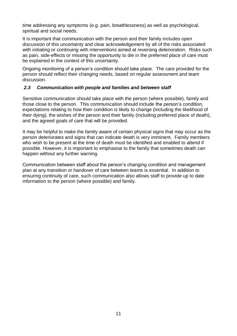time addressing any symptoms (e.g. pain, breathlessness) as well as psychological, spiritual and social needs.

It is important that communication with the person and their family includes open discussion of this uncertainty and clear acknowledgement by all of the risks associated with initiating or continuing with interventions aimed at reversing deterioration. Risks such as pain, side-effects or missing the opportunity to die in the preferred place of care must be explained in the context of this uncertainty.

Ongoing monitoring of a person's condition should take place. The care provided for the person should reflect their changing needs, based on regular assessment and team discussion.

#### *2.3 Communication with people and families and between staff*

Sensitive communication should take place with the person (where possible), family and those close to the person. This communication should include the person's condition, expectations relating to how their condition is likely to change (including the likelihood of their dying), the wishes of the person and their family (including preferred place of death), and the agreed goals of care that will be provided.

It may be helpful to make the family aware of certain physical signs that may occur as the person deteriorates and signs that can indicate death is very imminent. Family members who wish to be present at the time of death must be identified and enabled to attend if possible. However, it is important to emphasise to the family that sometimes death can happen without any further warning.

Communication between staff about the person's changing condition and management plan at any transition or handover of care between teams is essential. In addition to ensuring continuity of care, such communication also allows staff to provide up to date information to the person (where possible) and family.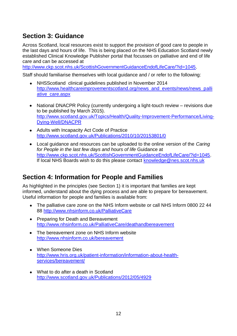## **Section 3: Guidance**

Across Scotland, local resources exist to support the provision of good care to people in the last days and hours of life. This is being placed on the NHS Education Scotland newly established Clinical Knowledge Publisher portal that focusses on palliative and end of life care and can be accessed at

[http://www.ckp.scot.nhs.uk/ScottishGovernmentGuidanceEndofLifeCare/?id=1045.](http://www.ckp.scot.nhs.uk/ScottishGovernmentGuidanceEndofLifeCare/?id=1045)

Staff should familiarise themselves with local guidance and / or refer to the following:

- NHSScotland clinical guidelines published in November 2014  $\bullet$ [http://www.healthcareimprovementscotland.org/news\\_and\\_events/news/news\\_palli](http://www.healthcareimprovementscotland.org/news_and_events/news/news_palliative_care.aspx) [ative\\_care.aspx](http://www.healthcareimprovementscotland.org/news_and_events/news/news_palliative_care.aspx)
- $\bullet$ National DNACPR Policy (currently undergoing a light-touch review – revisions due to be published by March 2015). [http://www.scotland.gov.uk/Topics/Health/Quality-Improvement-Performance/Living-](http://www.scotland.gov.uk/Topics/Health/Quality-Improvement-Performance/Living-Dying-Well/DNACPR)[Dying-Well/DNACPR](http://www.scotland.gov.uk/Topics/Health/Quality-Improvement-Performance/Living-Dying-Well/DNACPR)
- Adults with Incapacity Act Code of Practice <http://www.scotland.gov.uk/Publications/2010/10/20153801/0>
- Local guidance and resources can be uploaded to the online version of the *Caring*   $\bullet$ *for People in the last few days and hours of life* Guidance at [http://www.ckp.scot.nhs.uk/ScottishGovernmentGuidanceEndofLifeCare/?id=1045.](http://www.ckp.scot.nhs.uk/ScottishGovernmentGuidanceEndofLifeCare/?id=1045) If local NHS Boards wish to do this please contact [knowledge@nes.scot.nhs.uk](mailto:knowledge@nes.scot.nhs.uk)

## **Section 4: Information for People and Families**

As highlighted in the principles (see Section 1) it is important that families are kept informed, understand about the dying process and are able to prepare for bereavement. Useful information for people and families is available from:

- The palliative care zone on the NHS Inform website or call NHS Inform 0800 22 44  $\bullet$ 88<http://www.nhsinform.co.uk/PalliativeCare>
- Preparing for Death and Bereavement <http://www.nhsinform.co.uk/PalliativeCare/deathandbereavement>
- The bereavement zone on NHS Inform website <http://www.nhsinform.co.uk/bereavement>
- $\bullet$ When Someone Dies [http://www.hris.org.uk/patient-information/information-about-health](http://www.hris.org.uk/patient-information/information-about-health-services/bereavement/)[services/bereavement/](http://www.hris.org.uk/patient-information/information-about-health-services/bereavement/)
- What to do after a death in Scotland <http://www.scotland.gov.uk/Publications/2012/05/4929>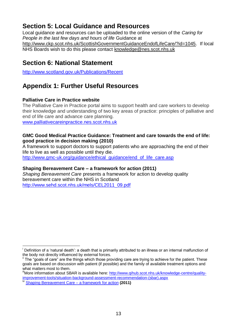## **Section 5: Local Guidance and Resources**

Local guidance and resources can be uploaded to the online version of the *Caring for People in the last few days and hours of life* Guidance at [http://www.ckp.scot.nhs.uk/ScottishGovernmentGuidanceEndofLifeCare/?id=1045.](http://www.ckp.scot.nhs.uk/ScottishGovernmentGuidanceEndofLifeCare/?id=1045) If local NHS Boards wish to do this please contact [knowledge@nes.scot.nhs.uk](mailto:knowledge@nes.scot.nhs.uk)

### **Section 6: National Statement**

<http://www.scotland.gov.uk/Publications/Recent>

## **Appendix 1: Further Useful Resources**

#### **Palliative Care in Practice website**

The Palliative Care in Practice portal aims to support health and care workers to develop their knowledge and understanding of two key areas of practice: principles of palliative and end of life care and advance care planning. [www.palliativecareinpractice.nes.scot.nhs.uk](http://www.palliativecareinpractice.nes.scot.nhs.uk/)

#### **[GMC Good Medical Practice Guidance: Treatment and care towards the end of life:](http://www.gmc-uk.org/guidance/ethical_guidance/end_of_life_care.asp)  [good practice in decision making \(2010\)](http://www.gmc-uk.org/guidance/ethical_guidance/end_of_life_care.asp)**

A framework to support doctors to support patients who are approaching the end of their life to live as well as possible until they die.

[http://www.gmc-uk.org/guidance/ethical\\_guidance/end\\_of\\_life\\_care.asp](http://www.gmc-uk.org/guidance/ethical_guidance/end_of_life_care.asp)

#### **[Shaping Bereavement Care –](http://www.sehd.scot.nhs.uk/mels/CEL2011_09.pdf) a framework for action (2011)**

*Shaping Bereavement Care* presents a framework for action to develop quality bereavement care within the NHS in Scotland [http://www.sehd.scot.nhs.uk/mels/CEL2011\\_09.pdf](http://www.sehd.scot.nhs.uk/mels/CEL2011_09.pdf)

<sup>-</sup>Definition of a 'natural death': a death that is primarily attributed to an illness or an internal malfunction of the body not directly influenced by external forces.

<sup>&</sup>lt;sup>ii</sup> The "goals of care" are the things which those providing care are trying to achieve for the patient. These goals are based on discussion with patient (if possible) and the family of available treatment options and what matters most to them.

<sup>&</sup>quot;More information about SBAR is available here: [http://www.qihub.scot.nhs.uk/knowledge-centre/quality](http://www.qihub.scot.nhs.uk/knowledge-centre/quality-improvement-tools/situation-background-assessment-recommendation-(sbar).aspx)[improvement-tools/situation-background-assessment-recommendation-\(sbar\).aspx](http://www.qihub.scot.nhs.uk/knowledge-centre/quality-improvement-tools/situation-background-assessment-recommendation-(sbar).aspx)

[Shaping Bereavement Care –](http://www.sehd.scot.nhs.uk/mels/CEL2011_09.pdf) a framework for action (2011)